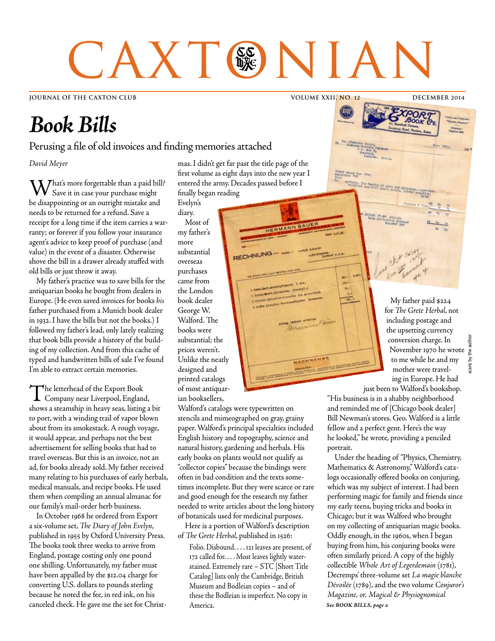# CAXT®NIAN

**JOURNAL OF THE CAXTON CLUB VOLUME XXII, NO. 12 DECEMBER 2014**

# *Book Bills*

### Perusing a file of old invoices and finding memories attached

*David Meyer*

 $\mathbf{W}$  hat's more forgettable than a paid bill? Save it in case your purchase might be disappointing or an outright mistake and needs to be returned for a refund. Save a receipt for a long time if the item carries a warranty; or forever if you follow your insurance agent's advice to keep proof of purchase (and value) in the event of a disaster. Otherwise shove the bill in a drawer already stuffed with old bills or just throw it away.

My father's practice was to save bills for the antiquarian books he bought from dealers in Europe. (He even saved invoices for books *his* father purchased from a Munich book dealer in 1932. I have the bills but not the books.) I followed my father's lead, only lately realizing that book bills provide a history of the building of my collection. And from this cache of typed and handwritten bills of sale I've found I'm able to extract certain memories.

The letterhead of the Export Book Company near Liverpool, England, shows a steamship in heavy seas, listing a bit to port, with a winding trail of vapor blown about from its smokestack. A rough voyage, it would appear, and perhaps not the best advertisement for selling books that had to travel overseas. But this is an invoice, not an ad, for books already sold. My father received many relating to his purchases of early herbals, medical manuals, and recipe books. He used them when compiling an annual almanac for our family's mail-order herb business.

In October 1968 he ordered from Export a six-volume set, *The Diary of John Evelyn*, published in 1955 by Oxford University Press. The books took three weeks to arrive from England, postage costing only one pound one shilling. Unfortunately, my father must have been appalled by the \$12.04 charge for converting U.S. dollars to pounds sterling because he noted the fee, in red ink, on his canceled check. He gave me the set for Christmas. I didn't get far past the title page of the first volume as eight days into the new year I entered the army. Decades passed before I finally began reading

RECHNUNG

Systematics

HERMANN BAUE

Evelyn's diary. Most of my father's more substantial overseas purchases came from the London book dealer George W. Walford. The books were substantial; the prices weren't. Unlike the neatly designed and printed catalogs of most antiquarian booksellers,

Walford's catalogs were typewritten on stencils and mimeographed on gray, grainy paper. Walford's principal specialties included English history and topography, science and natural history, gardening and herbals. His early books on plants would not qualify as "collector copies" because the bindings were often in bad condition and the texts sometimes incomplete. But they were scarce or rare and good enough for the research my father needed to write articles about the long history of botanicals used for medicinal purposes.

Here is a portion of Walford's description of *The Grete Herbal*, published in 1526:

Folio. Disbound. . . . 121 leaves are present, of 172 called for. . . . Most leaves lightly waterstained. Extremely rare – STC [Short Title Catalog] lists only the Cambridge, British Museum and Bodleian copies – and of these the Bodleian is imperfect. No copy in America.

My father paid \$224 for *The Grete Herbal*, not including postage and the upsetting currency conversion charge. In the author November 1970 he wrote to me while he and my cans by mother were traveling in Europe. He had just been to Walford's bookshop.

scans by the author

"His business is in a shabby neighborhood and reminded me of [Chicago book dealer] Bill Newman's stores. Geo. Walford is a little fellow and a perfect gent. Here's the way he looked," he wrote, providing a penciled portrait.

Under the heading of "Physics, Chemistry, Mathematics & Astronomy," Walford's catalogs occasionally offered books on conjuring, which was my subject of interest. I had been performing magic for family and friends since my early teens, buying tricks and books in Chicago; but it was Walford who brought on my collecting of antiquarian magic books. Oddly enough, in the 1960s, when I began buying from him, his conjuring books were often similarly priced. A copy of the highly collectible *Whole Art of Legerdemain* (1781), Decremps' three-volume set *La magie blanche Dévoilée* (1789), and the two volume *Conjuror's Magazine, or, Magical & Physiognomical See BOOK BILLS, page 2*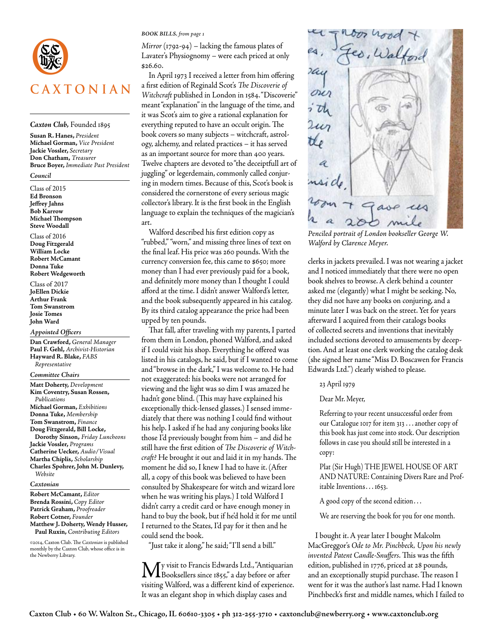

### *Caxton Club,* Founded 1895

**Susan R. Hanes,** *President* **Michael Gorman,** *Vice President* **Jackie Vossler,** *Secretary* **Don Chatham,** *Treasurer* **Bruce Boyer,** *Immediate Past President*

### *Council*

Class of 2015 **Ed Bronson Jeffrey Jahns Bob Karrow Michael Thompson Steve Woodall**

Class of 2016 **Doug Fitzgerald William Locke Robert McCamant Donna Tuke Robert Wedgeworth**

Class of 2017 **JoEllen Dickie Arthur Frank Tom Swanstrom Josie Tomes John Ward**

### *Appointed Officers*

**Dan Crawford,** *General Manager* **Paul F. Gehl,** *Archivist-Historian* **Hayward R. Blake,** *FABS Representative*

### *Committee Chairs*

**Matt Doherty,** *Development*  **Kim Coventry, Susan Rossen,**  *Publications* **Michael Gorman,** *Exhibitions*  **Donna Tuke,** *Membership* **Tom Swanstrom,** *Finance* **Doug Fitzgerald, Bill Locke, Dorothy Sinson,** *Friday Luncheons* **Jackie Vossler,** *Programs* **Catherine Uecker,** *Audio/Visual* **Martha Chiplis,** *Scholarship* **Charles Spohrer, John M. Dunlevy,**  *Website*

#### *Caxtonian*

**Robert McCamant,** *Editor* **Brenda Rossini,** *Copy Editor* **Patrick Graham,** *Proofreader* **Robert Cotner,** *Founder* **Matthew J. Doherty, Wendy Husser, Paul Ruxin,** *Contributing Editors*

©2014, Caxton Club. The *Caxtonian* is published monthly by the Caxton Club, whose office is in the Newberry Library.

### *BOOK BILLS, from page 1*

*Mirror* (1792-94) – lacking the famous plates of Lavater's Physiognomy – were each priced at only \$26.60.

In April 1973 I received a letter from him offering a first edition of Reginald Scot's *The Discoverie of Witchcraft* published in London in 1584. "Discoverie" meant "explanation" in the language of the time, and it was Scot's aim to give a rational explanation for everything reputed to have an occult origin. The book covers so many subjects – witchcraft, astrology, alchemy, and related practices – it has served as an important source for more than 400 years. Twelve chapters are devoted to "the deceiptfull art of juggling" or legerdemain, commonly called conjuring in modern times. Because of this, Scot's book is considered the cornerstone of every serious magic collector's library. It is the first book in the English language to explain the techniques of the magician's art.

Walford described his first edition copy as "rubbed," "worn," and missing three lines of text on the final leaf. His price was 260 pounds. With the currency conversion fee, this came to \$650; more money than I had ever previously paid for a book, and definitely more money than I thought I could afford at the time. I didn't answer Walford's letter, and the book subsequently appeared in his catalog. By its third catalog appearance the price had been upped by ten pounds.

That fall, after traveling with my parents, I parted from them in London, phoned Walford, and asked if I could visit his shop. Everything he offered was listed in his catalogs, he said, but if I wanted to come and "browse in the dark," I was welcome to. He had not exaggerated: his books were not arranged for viewing and the light was so dim I was amazed he hadn't gone blind. (This may have explained his exceptionally thick-lensed glasses.) I sensed immediately that there was nothing I could find without his help. I asked if he had any conjuring books like those I'd previously bought from him – and did he still have the first edition of *The Discoverie of Witchcraft*? He brought it out and laid it in my hands. The moment he did so, I knew I had to have it. (After all, a copy of this book was believed to have been consulted by Shakespeare for witch and wizard lore when he was writing his plays.) I told Walford I didn't carry a credit card or have enough money in hand to buy the book, but if he'd hold it for me until I returned to the States, I'd pay for it then and he could send the book.

"Just take it along," he said; "I'll send a bill."

My visit to Francis Edwards Ltd., "Antiquarian Booksellers since 1855," a day before or after visiting Walford, was a different kind of experience. It was an elegant shop in which display cases and



*Penciled portrait of London bookseller George W. Walford by Clarence Meyer.*

clerks in jackets prevailed. I was not wearing a jacket and I noticed immediately that there were no open book shelves to browse. A clerk behind a counter asked me (elegantly) what I might be seeking. No, they did not have any books on conjuring, and a minute later I was back on the street. Yet for years afterward I acquired from their catalogs books of collected secrets and inventions that inevitably included sections devoted to amusements by deception. And at least one clerk working the catalog desk (she signed her name "Miss D. Boscawen for Francis Edwards Ltd.") clearly wished to please.

### 23 April 1979

### Dear Mr. Meyer,

Referring to your recent unsuccessful order from our Catalogue 1017 for item 313 . . . another copy of this book has just come into stock. Our description follows in case you should still be interested in a copy:

Plat (Sir Hugh) THE JEWEL HOUSE OF ART AND NATURE: Containing Divers Rare and Profitable Inventions . . . 1653.

A good copy of the second edition. . .

We are reserving the book for you for one month.

I bought it. A year later I bought Malcolm MacGreggor's *Ode to Mr. Pinchbeck, Upon his newly invented Patent Candle-Snuffers*. This was the fifth edition, published in 1776, priced at 28 pounds, and an exceptionally stupid purchase. The reason I went for it was the author's last name. Had I known Pinchbeck's first and middle names, which I failed to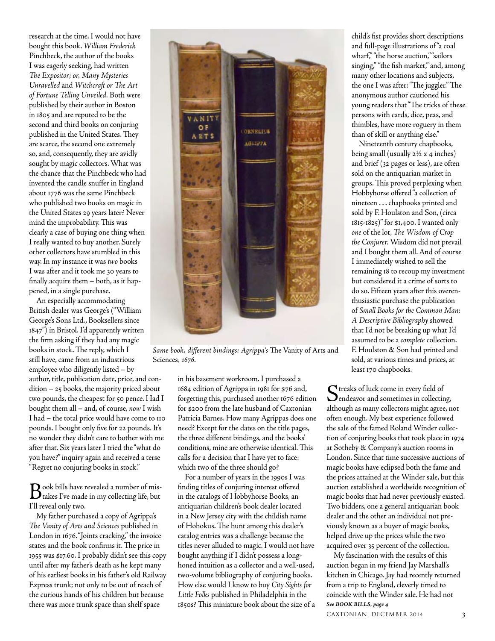research at the time, I would not have bought this book. *William Frederick* Pinchbeck, the author of the books I was eagerly seeking, had written *The Expositor; or, Many Mysteries Unravelled* and *Witchcraft or The Art of Fortune Telling Unveiled.* Both were published by their author in Boston in 1805 and are reputed to be the second and third books on conjuring published in the United States. They are scarce, the second one extremely so, and, consequently, they are avidly sought by magic collectors. What was the chance that the Pinchbeck who had invented the candle snuffer in England about 1776 was the same Pinchbeck who published two books on magic in the United States 29 years later? Never mind the improbability. This was clearly a case of buying one thing when I really wanted to buy another. Surely other collectors have stumbled in this way. In my instance it was *two* books I was after and it took me 30 years to finally acquire them – both, as it happened, in a single purchase.

An especially accommodating British dealer was George's ("William George's Sons Ltd., Booksellers since 1847") in Bristol. I'd apparently written the firm asking if they had any magic books in stock. The reply, which I still have, came from an industrious employee who diligently listed – by

author, title, publication date, price, and condition – 25 books, the majority priced about two pounds, the cheapest for 50 pence. Had I bought them all – and, of course, *now* I wish I had – the total price would have come to 110 pounds. I bought only five for 22 pounds. It's no wonder they didn't care to bother with me after that. Six years later I tried the "what do you have?" inquiry again and received a terse "Regret no conjuring books in stock."

Book bills have revealed a number of mis-takes I've made in my collecting life, but I'll reveal only two.

My father purchased a copy of Agrippa's *The Vanity of Arts and Sciences* published in London in 1676. "Joints cracking," the invoice states and the book confirms it. The price in 1955 was \$17.60. I probably didn't see this copy until after my father's death as he kept many of his earliest books in his father's old Railway Express trunk; not only to be out of reach of the curious hands of his children but because there was more trunk space than shelf space



*Same book, different bindings: Agrippa's* The Vanity of Arts and Sciences*, 1676.*

in his basement workroom. I purchased a 1684 edition of Agrippa in 1981 for \$76 and, forgetting this, purchased another 1676 edition for \$200 from the late husband of Caxtonian Patricia Barnes. How many Agrippas does one need? Except for the dates on the title pages, the three different bindings, and the books' conditions, mine are otherwise identical. This calls for a decision that I have yet to face: which two of the three should go?

For a number of years in the 1990s I was finding titles of conjuring interest offered in the catalogs of Hobbyhorse Books, an antiquarian children's book dealer located in a New Jersey city with the childish name of Hohokus. The hunt among this dealer's catalog entries was a challenge because the titles never alluded to magic. I would not have bought anything if I didn't possess a longhoned intuition as a collector and a well-used, two-volume bibliography of conjuring books. How else would I know to buy *City Sights for Little Folks* published in Philadelphia in the 1850s? This miniature book about the size of a child's fist provides short descriptions and full-page illustrations of "a coal wharf," "the horse auction," "sailors singing," "the fish market," and, among many other locations and subjects, the one I was after: "The juggler." The anonymous author cautioned his young readers that "The tricks of these persons with cards, dice, peas, and thimbles, have more roguery in them than of skill or anything else."

Nineteenth century chapbooks, being small (usually 2½ x 4 inches) and brief (32 pages or less), are often sold on the antiquarian market in groups. This proved perplexing when Hobbyhorse offered "a collection of nineteen . . . chapbooks printed and sold by F. Houlston and Son, (circa 1815-1825)" for \$1,400. I wanted only *one* of the lot, *The Wisdom of Crop the Conjurer.* Wisdom did not prevail and I bought them all. And of course I immediately wished to sell the remaining 18 to recoup my investment but considered it a crime of sorts to do so. Fifteen years after this overenthusiastic purchase the publication of *Small Books for the Common Man: A Descriptive Bibliography* showed that I'd not be breaking up what I'd assumed to be a *complete* collection. F. Houlston & Son had printed and sold, at various times and prices, at least 170 chapbooks.

Streaks of luck come in every field of Dendeavor and sometimes in collecting, although as many collectors might agree, not often enough. My best experience followed the sale of the famed Roland Winder collection of conjuring books that took place in 1974 at Sotheby & Company's auction rooms in London. Since that time successive auctions of magic books have eclipsed both the fame and the prices attained at the Winder sale, but this auction established a worldwide recognition of magic books that had never previously existed. Two bidders, one a general antiquarian book dealer and the other an individual not previously known as a buyer of magic books, helped drive up the prices while the two acquired over 35 percent of the collection.

My fascination with the results of this auction began in my friend Jay Marshall's kitchen in Chicago. Jay had recently returned from a trip to England, cleverly timed to coincide with the Winder sale. He had not *See BOOK BILLS, page 4*

CAXTONIAN, DECEMBER 2014 3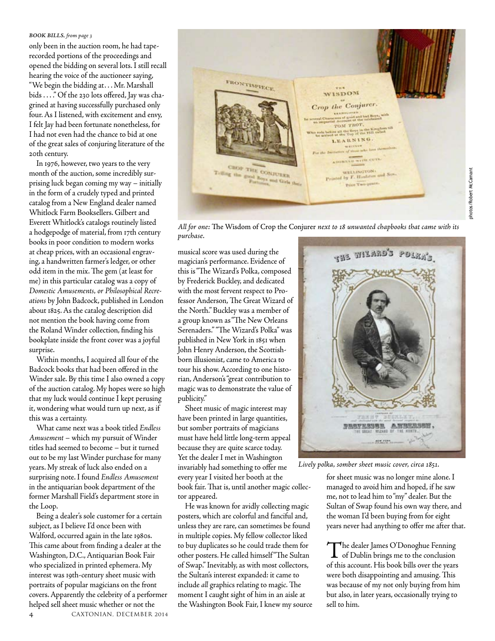### *BOOK BILLS, from page 3*

only been in the auction room, he had taperecorded portions of the proceedings and opened the bidding on several lots. I still recall hearing the voice of the auctioneer saying, "We begin the bidding at. . . Mr. Marshall bids . . . ." Of the 230 lots offered, Jay was chagrined at having successfully purchased only four. As I listened, with excitement and envy, I felt Jay had been fortunate nonetheless, for I had not even had the chance to bid at one of the great sales of conjuring literature of the 20th century.

In 1976, however, two years to the very month of the auction, some incredibly surprising luck began coming my way – initially in the form of a crudely typed and printed catalog from a New England dealer named Whitlock Farm Booksellers. Gilbert and Everett Whitlock's catalogs routinely listed a hodgepodge of material, from 17th century books in poor condition to modern works at cheap prices, with an occasional engraving, a handwritten farmer's ledger, or other odd item in the mix. The gem (at least for me) in this particular catalog was a copy of *Domestic Amusements, or Philosophical Recreations* by John Badcock, published in London about 1825. As the catalog description did not mention the book having come from the Roland Winder collection, finding his bookplate inside the front cover was a joyful surprise.

Within months, I acquired all four of the Badcock books that had been offered in the Winder sale. By this time I also owned a copy of the auction catalog. My hopes were so high that my luck would continue I kept perusing it, wondering what would turn up next, as if this was a certainty.

What came next was a book titled *Endless Amusement* – which my pursuit of Winder titles had seemed to become – but it turned out to be my last Winder purchase for many years. My streak of luck also ended on a surprising note. I found *Endless Amusement* in the antiquarian book department of the former Marshall Field's department store in the Loop.

Being a dealer's sole customer for a certain subject, as I believe I'd once been with Walford, occurred again in the late 1980s. This came about from finding a dealer at the Washington, D.C., Antiquarian Book Fair who specialized in printed ephemera. My interest was 19th-century sheet music with portraits of popular magicians on the front covers. Apparently the celebrity of a performer helped sell sheet music whether or not the



*All for one:* The Wisdom of Crop the Conjurer *next to 18 unwanted chapbooks that came with its purchase.*

musical score was used during the magician's performance. Evidence of this is "The Wizard's Polka, composed by Frederick Buckley, and dedicated with the most fervent respect to Professor Anderson, The Great Wizard of the North." Buckley was a member of a group known as "The New Orleans Serenaders." "The Wizard's Polka" was published in New York in 1851 when John Henry Anderson, the Scottishborn illusionist, came to America to tour his show. According to one historian, Anderson's "great contribution to magic was to demonstrate the value of publicity."

Sheet music of magic interest may have been printed in large quantities, but somber portraits of magicians must have held little long-term appeal because they are quite scarce today. Yet the dealer I met in Washington invariably had something to offer me every year I visited her booth at the book fair. That is, until another magic collector appeared.

He was known for avidly collecting magic posters, which are colorful and fanciful and, unless they are rare, can sometimes be found in multiple copies. My fellow collector liked to buy duplicates so he could trade them for other posters. He called himself "The Sultan of Swap." Inevitably, as with most collectors, the Sultan's interest expanded: it came to include *all* graphics relating to magic. The moment I caught sight of him in an aisle at the Washington Book Fair, I knew my source



*Lively polka, somber sheet music cover, circa 1851.*

for sheet music was no longer mine alone. I managed to avoid him and hoped, if he saw me, not to lead him to "my" dealer. But the Sultan of Swap found his own way there, and the woman I'd been buying from for eight years never had anything to offer me after that.

The dealer James O'Donoghue Fenning of Dublin brings me to the conclusion of this account. His book bills over the years were both disappointing and amusing. This was because of my not only buying from him but also, in later years, occasionally trying to sell to him.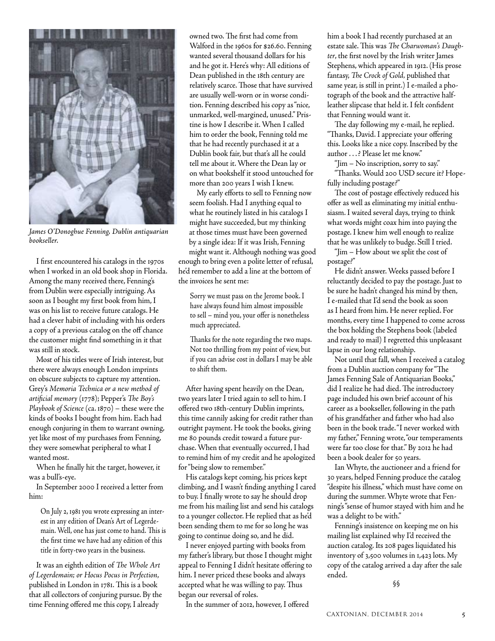

*James O'Donoghue Fenning, Dublin antiquarian bookseller.*

I first encountered his catalogs in the 1970s when I worked in an old book shop in Florida. Among the many received there, Fenning's from Dublin were especially intriguing. As soon as I bought my first book from him, I was on his list to receive future catalogs. He had a clever habit of including with his orders a copy of a previous catalog on the off chance the customer might find something in it that was still in stock.

Most of his titles were of Irish interest, but there were always enough London imprints on obscure subjects to capture my attention. Grey's *Memoria Technica or a new method of artificial memory* (1778); Pepper's *The Boy's Playbook of Science* (ca. 1870) – these were the kinds of books I bought from him. Each had enough conjuring in them to warrant owning, yet like most of my purchases from Fenning, they were somewhat peripheral to what I wanted most.

When he finally hit the target, however, it was a bull's-eye.

In September 2000 I received a letter from him:

On July 2, 1981 you wrote expressing an interest in any edition of Dean's Art of Legerdemain. Well, one has just come to hand. This is the first time we have had any edition of this title in forty-two years in the business.

It was an eighth edition of *The Whole Art of Legerdemain; or Hocus Pocus in Perfection*, published in London in 1781. This is a book that all collectors of conjuring pursue. By the time Fenning offered me this copy, I already

owned two. The first had come from Walford in the 1960s for \$26.60. Fenning wanted several thousand dollars for his and he got it. Here's why: All editions of Dean published in the 18th century are relatively scarce. Those that have survived are usually well-worn or in worse condition. Fenning described his copy as "nice, unmarked, well-margined, unused." Pristine is how I describe it. When I called him to order the book, Fenning told me that he had recently purchased it at a Dublin book fair, but that's all he could tell me about it. Where the Dean lay or on what bookshelf it stood untouched for more than 200 years I wish I knew.

My early efforts to sell to Fenning now seem foolish. Had I anything equal to what he routinely listed in his catalogs I might have succeeded, but my thinking at those times must have been governed by a single idea: If it was Irish, Fenning might want it. Although nothing was good enough to bring even a polite letter of refusal, he'd remember to add a line at the bottom of the invoices he sent me:

Sorry we must pass on the Jerome book. I have always found him almost impossible to sell – mind you, your offer is nonetheless much appreciated.

Thanks for the note regarding the two maps. Not too thrilling from my point of view, but if you can advise cost in dollars I may be able to shift them.

After having spent heavily on the Dean, two years later I tried again to sell to him. I offered two 18th-century Dublin imprints, this time cannily asking for credit rather than outright payment. He took the books, giving me 80 pounds credit toward a future purchase. When that eventually occurred, I had to remind him of my credit and he apologized for "being slow to remember."

His catalogs kept coming, his prices kept climbing, and I wasn't finding anything I cared to buy. I finally wrote to say he should drop me from his mailing list and send his catalogs to a younger collector. He replied that as he'd been sending them to me for so long he was going to continue doing so, and he did.

I never enjoyed parting with books from my father's library, but those I thought might appeal to Fenning I didn't hesitate offering to him. I never priced these books and always accepted what he was willing to pay. Thus began our reversal of roles.

In the summer of 2012, however, I offered

him a book I had recently purchased at an estate sale. This was *The Charwoman's Daughter*, the first novel by the Irish writer James Stephens, which appeared in 1912. (His prose fantasy, *The Crock of Gold,* published that same year, is still in print.) I e-mailed a photograph of the book and the attractive halfleather slipcase that held it. I felt confident that Fenning would want it.

The day following my e-mail, he replied. "Thanks, David. I appreciate your offering this. Looks like a nice copy. Inscribed by the author . . .? Please let me know."

"Jim – No inscription, sorry to say." "Thanks. Would 200 USD secure it? Hopefully including postage?"

The cost of postage effectively reduced his offer as well as eliminating my initial enthusiasm. I waited several days, trying to think what words might coax him into paying the postage. I knew him well enough to realize that he was unlikely to budge. Still I tried.

"Jim – How about we split the cost of postage?"

He didn't answer. Weeks passed before I reluctantly decided to pay the postage. Just to be sure he hadn't changed his mind by then, I e-mailed that I'd send the book as soon as I heard from him. He never replied. For months, every time I happened to come across the box holding the Stephens book (labeled and ready to mail) I regretted this unpleasant lapse in our long relationship.

Not until that fall, when I received a catalog from a Dublin auction company for "The James Fenning Sale of Antiquarian Books," did I realize he had died. The introductory page included his own brief account of his career as a bookseller, following in the path of his grandfather and father who had also been in the book trade. "I never worked with my father," Fenning wrote, "our temperaments were far too close for that." By 2012 he had been a book dealer for 50 years.

Ian Whyte, the auctioneer and a friend for 30 years, helped Fenning produce the catalog "despite his illness," which must have come on during the summer. Whyte wrote that Fenning's "sense of humor stayed with him and he was a delight to be with."

Fenning's insistence on keeping me on his mailing list explained why I'd received the auction catalog. Its 208 pages liquidated his inventory of 3,500 volumes in 1,423 lots. My copy of the catalog arrived a day after the sale ended.

§§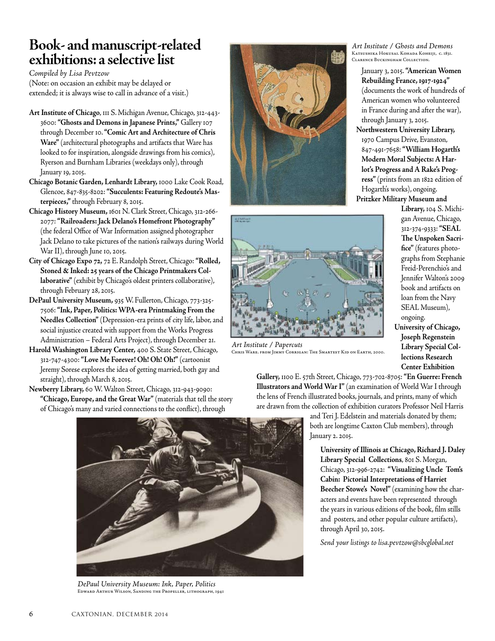### **Book- and manuscript-related exhibitions: a selective list**

*Compiled by Lisa Pevtzow* (Note: on occasion an exhibit may be delayed or extended; it is always wise to call in advance of a visit.)

- **Art Institute of Chicago**, 111 S. Michigan Avenue, Chicago, 312-443- 3600: **"Ghosts and Demons in Japanese Prints,"** Gallery 107 through December 10. **"Comic Art and Architecture of Chris Ware"** (architectural photographs and artifacts that Ware has looked to for inspiration, alongside drawings from his comics), Ryerson and Burnham Libraries (weekdays only), through January 19, 2015.
- **Chicago Botanic Garden, Lenhardt Library,** 1000 Lake Cook Road, Glencoe, 847-835-8202: **"Succulents: Featuring Redoute's Masterpieces,"** through February 8, 2015.
- **Chicago History Museum,** 1601 N. Clark Street, Chicago, 312-266- 2077: **"Railroaders: Jack Delano's Homefront Photography"** (the federal Office of War Information assigned photographer Jack Delano to take pictures of the nation's railways during World War II), through June 10, 2015.
- **City of Chicago Expo 72,** 72 E. Randolph Street, Chicago: **"Rolled, Stoned & Inked: 25 years of the Chicago Printmakers Collaborative"** (exhibit by Chicago's oldest printers collaborative), through February 28, 2015.
- **DePaul University Museum,** 935 W. Fullerton, Chicago, 773-325- 7506: **"Ink, Paper, Politics: WPA-era Printmaking From the Needles Collection"** (Depression-era prints of city life, labor, and social injustice created with support from the Works Progress Administration – Federal Arts Project), through December 21.
- **Harold Washington Library Center,** 400 S. State Street, Chicago, 312-747-4300: **"Love Me Forever! Oh! Oh! Oh!"** (cartoonist Jeremy Sorese explores the idea of getting married, both gay and straight), through March 8, 2015.
- **Newberry Library,** 60 W. Walton Street, Chicago, 312-943-9090: **"Chicago, Europe, and the Great War"** (materials that tell the story of Chicago's many and varied connections to the conflict), through





*Art Institute / Papercuts* Chris Ware. from Jimmy Corrigan: The Smartest Kid on Earth, 2000.

*Art Institute / Ghosts and Demons* Katsushika Hokusai. Kohada Koheiji, c. 1831. Clarence Buckingham Collection.

January 3, 2015. **"American Women Rebuilding France, 1917-1924"** (documents the work of hundreds of American women who volunteered in France during and after the war), through January 3, 2015.

**Northwestern University Library,** 1970 Campus Drive, Evanston, 847-491-7658: **"William Hogarth's Modern Moral Subjects: A Harlot's Progress and A Rake's Progress"** (prints from an 1822 edition of Hogarth's works), ongoing.

**Pritzker Military Museum and** 

**Library,** 104 S. Michigan Avenue, Chicago, 312-374-9333: **"SEAL The Unspoken Sacrifice"** (features photographs from Stephanie Freid-Perenchio's and Jennifer Walton's 2009 book and artifacts on loan from the Navy SEAL Museum), ongoing. **University of Chicago,** 

**Joseph Regenstein Library Special Collections Research Center Exhibition** 

**Gallery,** 1100 E. 57th Street, Chicago, 773-702-8705: **"En Guerre: French Illustrators and World War I"** (an examination of World War I through the lens of French illustrated books, journals, and prints, many of which are drawn from the collection of exhibition curators Professor Neil Harris

> and Teri J. Edelstein and materials donated by them; both are longtime Caxton Club members), through January 2. 2015.

**University of Illinois at Chicago, Richard J. Daley Library Special Collections**, 801 S. Morgan, Chicago, 312-996-2742: **"Visualizing Uncle Tom's Cabin: Pictorial Interpretations of Harriet Beecher Stowe's Novel"** (examining how the characters and events have been represented through the years in various editions of the book, film stills and posters, and other popular culture artifacts), through April 30, 2015.

*Send your listings to lisa.pevtzow@sbcglobal.net*



*DePaul University Museum: Ink, Paper, Politics* Edward Arthur Wilson, Sanding the Propeller, lithograph, 1941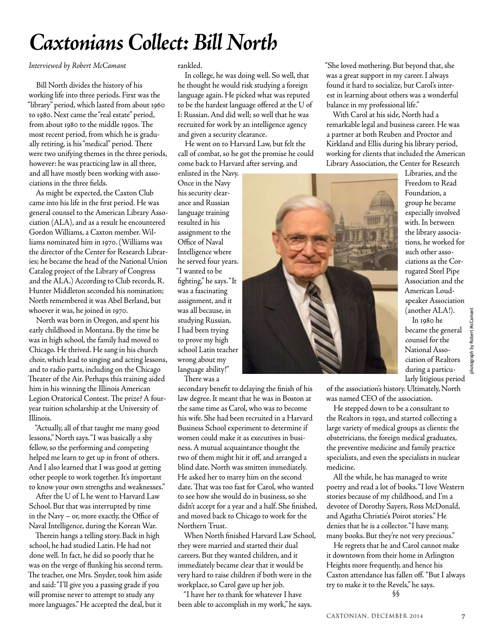# *Caxtonians Collect: Bill North*

### *Interviewed by Robert McCamant*

Bill North divides the history of his working life into three periods. First was the "library" period, which lasted from about 1960 to 1980. Next came the "real estate" period, from about 1980 to the middle 1990s. The most recent period, from which he is gradually retiring, is his "medical" period. There were two unifying themes in the three periods, however: he was practicing law in all three, and all have mostly been working with associations in the three fields.

As might be expected, the Caxton Club came into his life in the first period. He was general counsel to the American Library Association (ALA), and as a result he encountered Gordon Williams, a Caxton member. Williams nominated him in 1970. (Williams was the director of the Center for Research Libraries; he became the head of the National Union Catalog project of the Library of Congress and the ALA.) According to Club records, R. Hunter Middleton seconded his nomination; North remembered it was Abel Berland, but whoever it was, he joined in 1970.

North was born in Oregon, and spent his early childhood in Montana. By the time he was in high school, the family had moved to Chicago. He thrived. He sang in his church choir, which lead to singing and acting lessons, and to radio parts, including on the Chicago Theater of the Air. Perhaps this training aided him in his winning the Illinois American Legion Oratorical Contest. The prize? A fouryear tuition scholarship at the University of Illinois.

"Actually, all of that taught me many good lessons," North says. "I was basically a shy fellow, so the performing and competing helped me learn to get up in front of others. And I also learned that I was good at getting other people to work together. It's important to know your own strengths and weaknesses."

After the U of I, he went to Harvard Law School. But that was interrupted by time in the Navy – or, more exactly, the Office of Naval Intelligence, during the Korean War.

Therein hangs a telling story. Back in high school, he had studied Latin. He had not done well. In fact, he did so poorly that he was on the verge of flunking his second term. The teacher, one Mrs. Snyder, took him aside and said: "I'll give you a passing grade if you will promise never to attempt to study any more languages." He accepted the deal, but it

rankled.

In college, he was doing well. So well, that he thought he would risk studying a foreign language again. He picked what was reputed to be the hardest language offered at the U of I: Russian. And did well; so well that he was recruited for work by an intelligence agency and given a security clearance.

He went on to Harvard Law, but felt the call of combat, so he got the promise he could come back to Harvard after serving, and

enlisted in the Navy. Once in the Navy his security clearance and Russian language training resulted in his assignment to the Office of Naval Intelligence where he served four years. "I wanted to be fighting," he says. "It was a fascinating assignment, and it was all because, in studying Russian, I had been trying to prove my high school Latin teacher wrong about my language ability!" There was a

secondary benefit to delaying the finish of his law degree. It meant that he was in Boston at the same time as Carol, who was to become his wife. She had been recruited in a Harvard Business School experiment to determine if women could make it as executives in business. A mutual acquaintance thought the two of them might hit it off, and arranged a blind date. North was smitten immediately. He asked her to marry him on the second date. That was too fast for Carol, who wanted to see how she would do in business, so she didn't accept for a year and a half. She finished, and moved back to Chicago to work for the Northern Trust.

When North finished Harvard Law School, they were married and started their dual careers. But they wanted children, and it immediately became clear that it would be very hard to raise children if both were in the workplace, so Carol gave up her job.

"I have her to thank for whatever I have been able to accomplish in my work," he says. "She loved mothering. But beyond that, she was a great support in my career. I always found it hard to socialize, but Carol's interest in learning about others was a wonderful balance in my professional life."

With Carol at his side, North had a remarkable legal and business career. He was a partner at both Reuben and Proctor and Kirkland and Ellis during his library period, working for clients that included the American Library Association, the Center for Research



Libraries, and the Freedom to Read Foundation, a group he became especially involved with. In between the library associations, he worked for such other associations as the Corrugated Steel Pipe Association and the American Loudspeaker Association (another ALA!).

In 1980 he became the general counsel for the National Association of Realtors during a particularly litigious period photograph by Robert McCamant

hotograph by Robert McCamant

of the association's history. Ultimately, North was named CEO of the association.

He stepped down to be a consultant to the Realtors in 1992, and started collecting a large variety of medical groups as clients: the obstetricians, the foreign medical graduates, the preventive medicine and family practice specialists, and even the specialists in nuclear medicine.

All the while, he has managed to write poetry and read a lot of books. "I love Western stories because of my childhood, and I'm a devotee of Dorothy Sayers, Ross McDonald, and Agatha Christie's Poirot stories." He denies that he is a collector. "I have many, many books. But they're not very precious."

He regrets that he and Carol cannot make it downtown from their home in Arlington Heights more frequently, and hence his Caxton attendance has fallen off. "But I always try to make it to the Revels," he says. §§